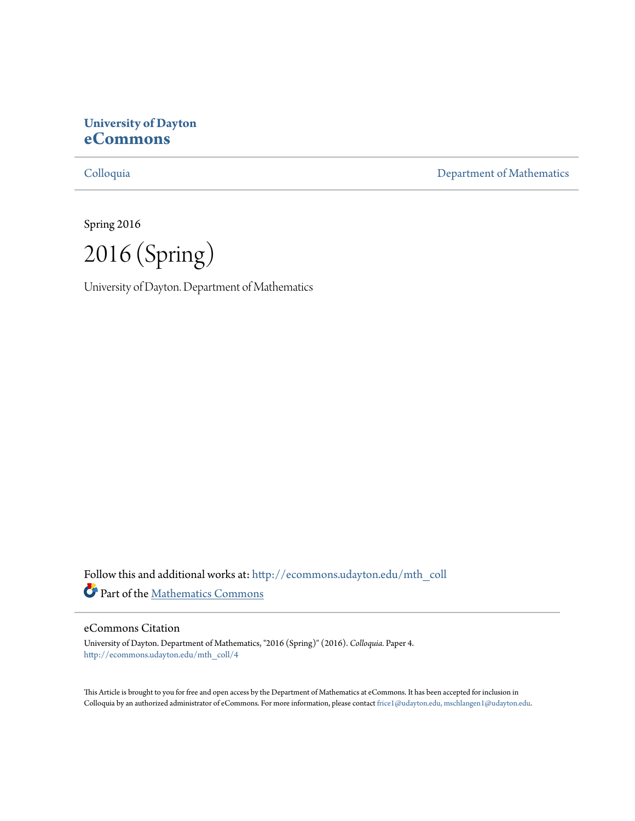#### **University of Dayton [eCommons](http://ecommons.udayton.edu?utm_source=ecommons.udayton.edu%2Fmth_coll%2F4&utm_medium=PDF&utm_campaign=PDFCoverPages)**

[Colloquia](http://ecommons.udayton.edu/mth_coll?utm_source=ecommons.udayton.edu%2Fmth_coll%2F4&utm_medium=PDF&utm_campaign=PDFCoverPages) [Department of Mathematics](http://ecommons.udayton.edu/mth?utm_source=ecommons.udayton.edu%2Fmth_coll%2F4&utm_medium=PDF&utm_campaign=PDFCoverPages)

Spring 2016

2016 (Spring)

University of Dayton. Department of Mathematics

Follow this and additional works at: [http://ecommons.udayton.edu/mth\\_coll](http://ecommons.udayton.edu/mth_coll?utm_source=ecommons.udayton.edu%2Fmth_coll%2F4&utm_medium=PDF&utm_campaign=PDFCoverPages) Part of the [Mathematics Commons](http://network.bepress.com/hgg/discipline/174?utm_source=ecommons.udayton.edu%2Fmth_coll%2F4&utm_medium=PDF&utm_campaign=PDFCoverPages)

#### eCommons Citation

University of Dayton. Department of Mathematics, "2016 (Spring)" (2016). *Colloquia.* Paper 4. [http://ecommons.udayton.edu/mth\\_coll/4](http://ecommons.udayton.edu/mth_coll/4?utm_source=ecommons.udayton.edu%2Fmth_coll%2F4&utm_medium=PDF&utm_campaign=PDFCoverPages)

This Article is brought to you for free and open access by the Department of Mathematics at eCommons. It has been accepted for inclusion in Colloquia by an authorized administrator of eCommons. For more information, please contact [frice1@udayton.edu, mschlangen1@udayton.edu.](mailto:frice1@udayton.edu,%20mschlangen1@udayton.edu)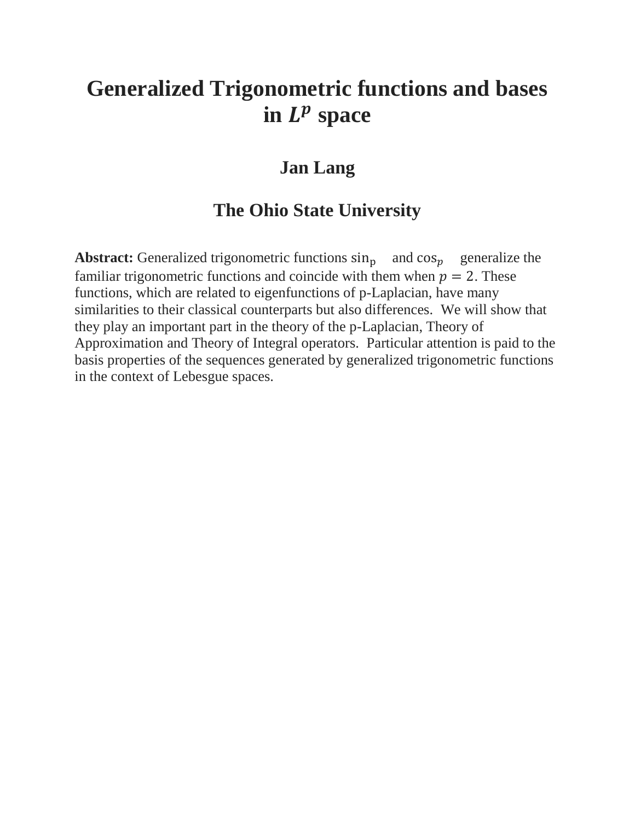## **Generalized Trigonometric functions and bases in space**

#### **Jan Lang**

#### **The Ohio State University**

**Abstract:** Generalized trigonometric functions  $\sin_{p}$  and  $\cos_{p}$  generalize the familiar trigonometric functions and coincide with them when  $p = 2$ . These functions, which are related to eigenfunctions of p-Laplacian, have many similarities to their classical counterparts but also differences. We will show that they play an important part in the theory of the p-Laplacian, Theory of Approximation and Theory of Integral operators. Particular attention is paid to the basis properties of the sequences generated by generalized trigonometric functions in the context of Lebesgue spaces.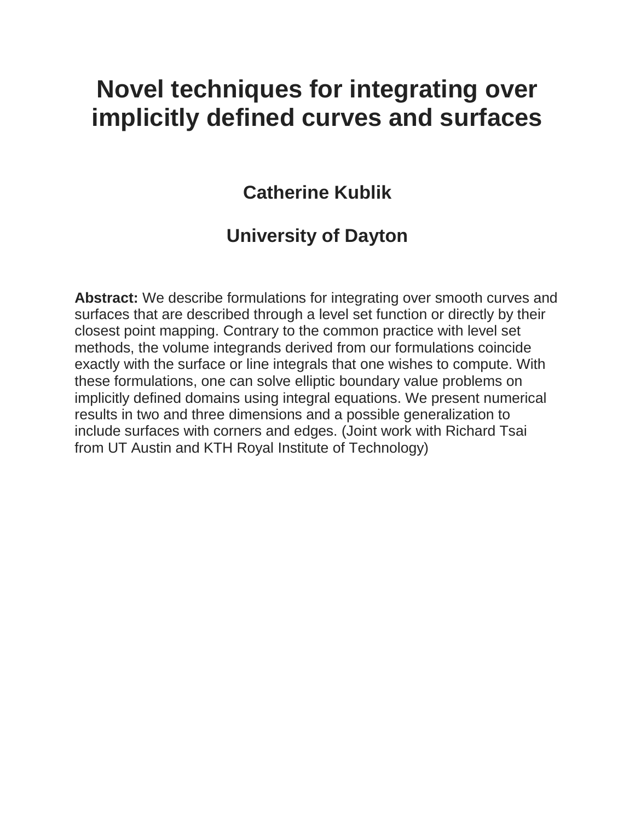## **Novel techniques for integrating over implicitly defined curves and surfaces**

#### **Catherine Kublik**

#### **University of Dayton**

**Abstract:** We describe formulations for integrating over smooth curves and surfaces that are described through a level set function or directly by their closest point mapping. Contrary to the common practice with level set methods, the volume integrands derived from our formulations coincide exactly with the surface or line integrals that one wishes to compute. With these formulations, one can solve elliptic boundary value problems on implicitly defined domains using integral equations. We present numerical results in two and three dimensions and a possible generalization to include surfaces with corners and edges. (Joint work with Richard Tsai from UT Austin and KTH Royal Institute of Technology)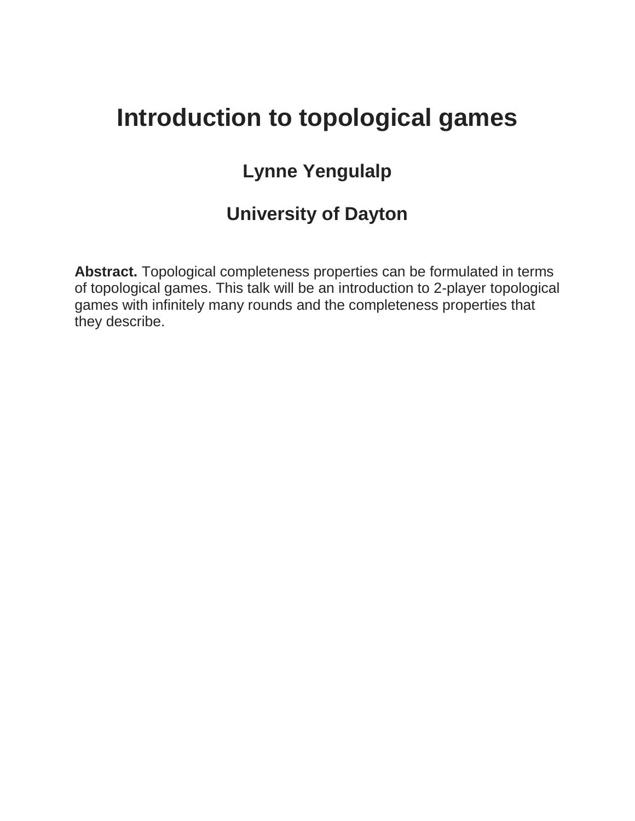## **Introduction to topological games**

## **Lynne Yengulalp**

### **University of Dayton**

**Abstract.** Topological completeness properties can be formulated in terms of topological games. This talk will be an introduction to 2-player topological games with infinitely many rounds and the completeness properties that they describe.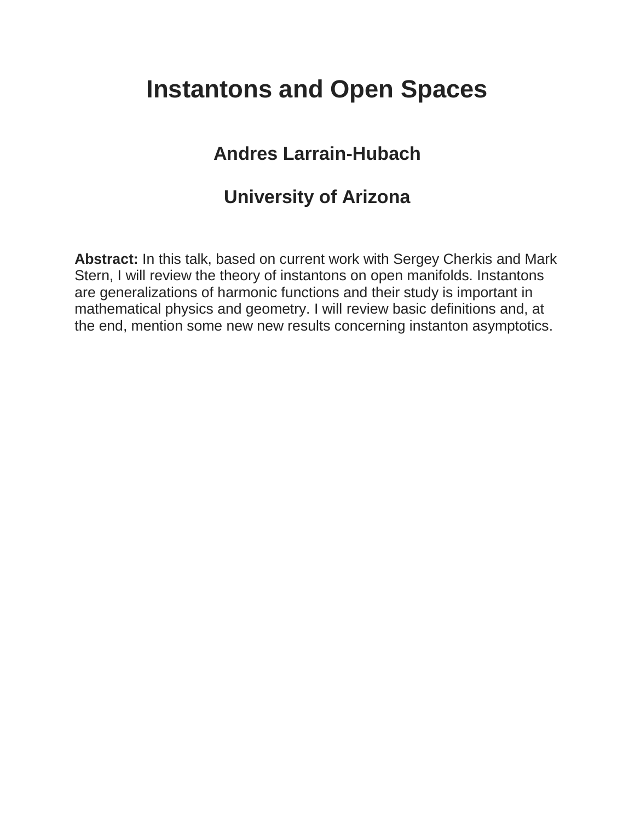# **Instantons and Open Spaces**

### **Andres Larrain-Hubach**

#### **University of Arizona**

**Abstract:** In this talk, based on current work with Sergey Cherkis and Mark Stern, I will review the theory of instantons on open manifolds. Instantons are generalizations of harmonic functions and their study is important in mathematical physics and geometry. I will review basic definitions and, at the end, mention some new new results concerning instanton asymptotics.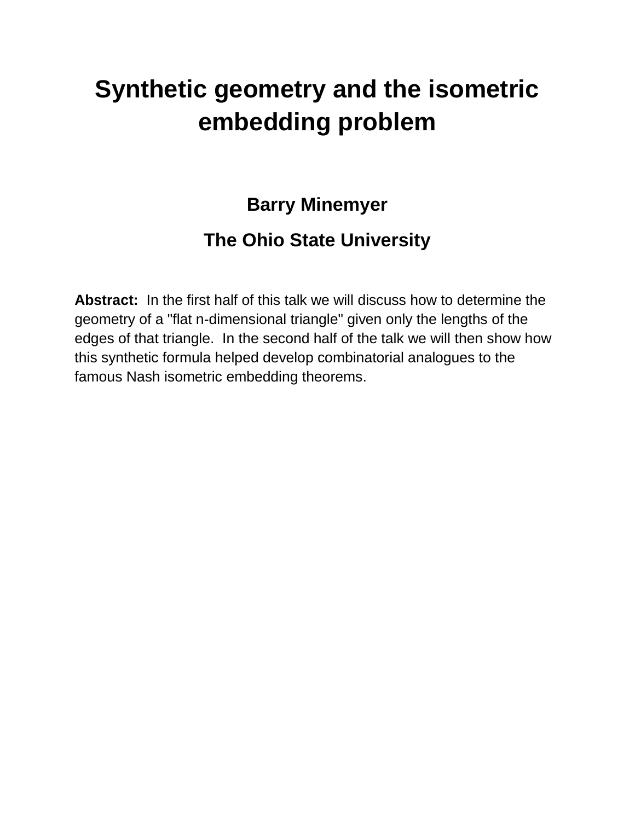# **Synthetic geometry and the isometric embedding problem**

### **Barry Minemyer**

### **The Ohio State University**

**Abstract:** In the first half of this talk we will discuss how to determine the geometry of a "flat n-dimensional triangle" given only the lengths of the edges of that triangle. In the second half of the talk we will then show how this synthetic formula helped develop combinatorial analogues to the famous Nash isometric embedding theorems.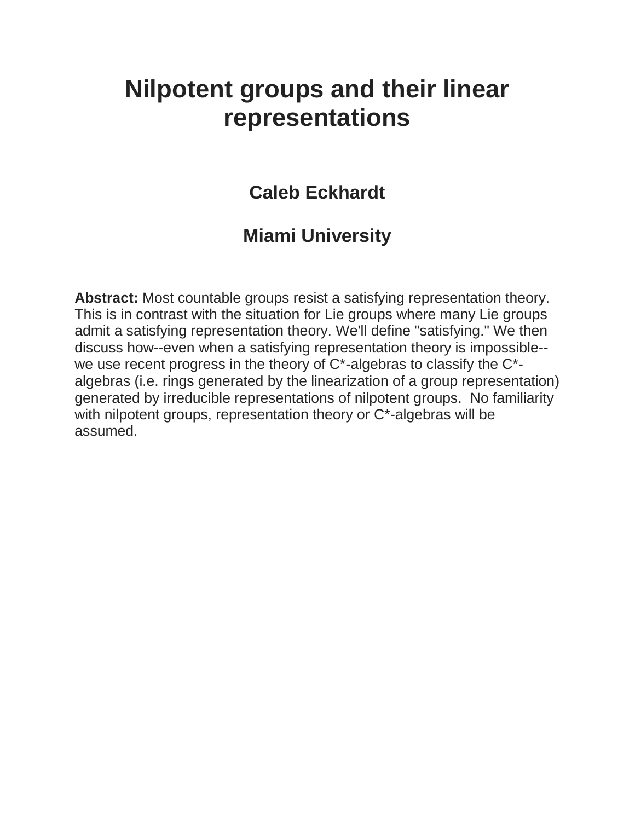## **Nilpotent groups and their linear representations**

#### **Caleb Eckhardt**

### **Miami University**

**Abstract:** Most countable groups resist a satisfying representation theory. This is in contrast with the situation for Lie groups where many Lie groups admit a satisfying representation theory. We'll define "satisfying." We then discuss how--even when a satisfying representation theory is impossible- we use recent progress in the theory of C\*-algebras to classify the C\* algebras (i.e. rings generated by the linearization of a group representation) generated by irreducible representations of nilpotent groups. No familiarity with nilpotent groups, representation theory or C\*-algebras will be assumed.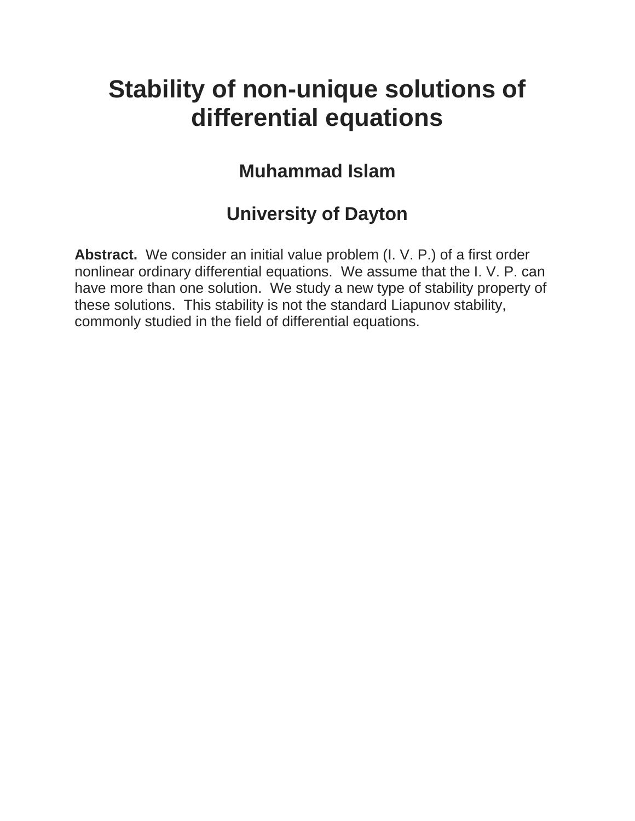## **Stability of non-unique solutions of differential equations**

### **Muhammad Islam**

### **University of Dayton**

**Abstract.** We consider an initial value problem (I. V. P.) of a first order nonlinear ordinary differential equations. We assume that the I. V. P. can have more than one solution. We study a new type of stability property of these solutions. This stability is not the standard Liapunov stability, commonly studied in the field of differential equations.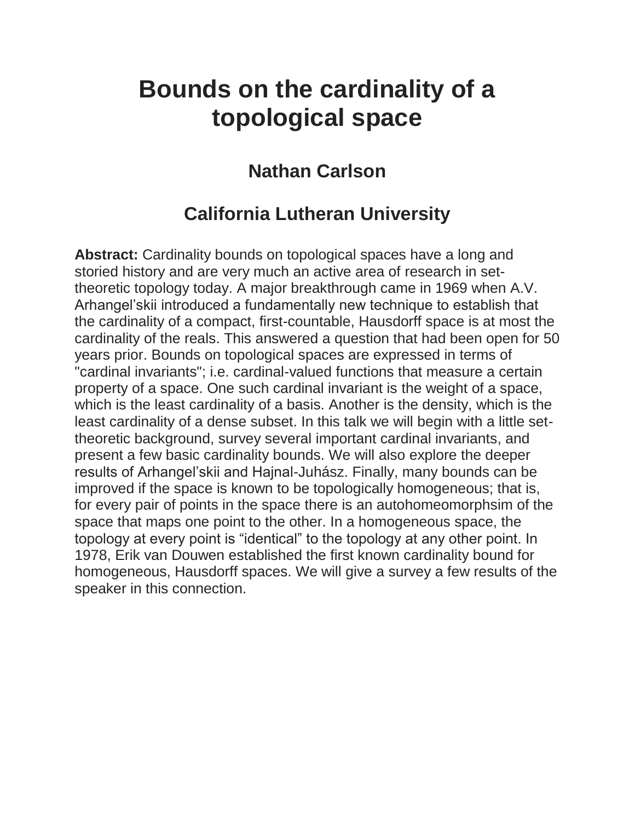## **Bounds on the cardinality of a topological space**

### **Nathan Carlson**

### **California Lutheran University**

**Abstract:** Cardinality bounds on topological spaces have a long and storied history and are very much an active area of research in settheoretic topology today. A major breakthrough came in 1969 when A.V. Arhangel'skii introduced a fundamentally new technique to establish that the cardinality of a compact, first-countable, Hausdorff space is at most the cardinality of the reals. This answered a question that had been open for 50 years prior. Bounds on topological spaces are expressed in terms of "cardinal invariants"; i.e. cardinal-valued functions that measure a certain property of a space. One such cardinal invariant is the weight of a space, which is the least cardinality of a basis. Another is the density, which is the least cardinality of a dense subset. In this talk we will begin with a little settheoretic background, survey several important cardinal invariants, and present a few basic cardinality bounds. We will also explore the deeper results of Arhangel'skii and Hajnal-Juhász. Finally, many bounds can be improved if the space is known to be topologically homogeneous; that is, for every pair of points in the space there is an autohomeomorphsim of the space that maps one point to the other. In a homogeneous space, the topology at every point is "identical" to the topology at any other point. In 1978, Erik van Douwen established the first known cardinality bound for homogeneous, Hausdorff spaces. We will give a survey a few results of the speaker in this connection.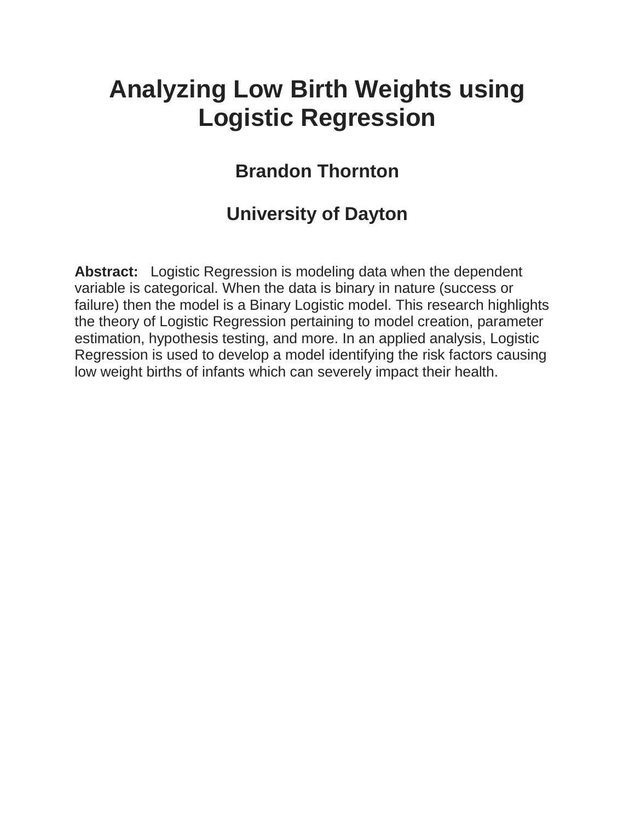# **Analyzing Low Birth Weights using Logistic Regression**

### **Brandon Thornton**

### **University of Dayton**

**Abstract:** Logistic Regression is modeling data when the dependent variable is categorical. When the data is binary in nature (success or failure) then the model is a Binary Logistic model. This research highlights the theory of Logistic Regression pertaining to model creation, parameter estimation, hypothesis testing, and more. In an applied analysis, Logistic Regression is used to develop a model identifying the risk factors causing low weight births of infants which can severely impact their health.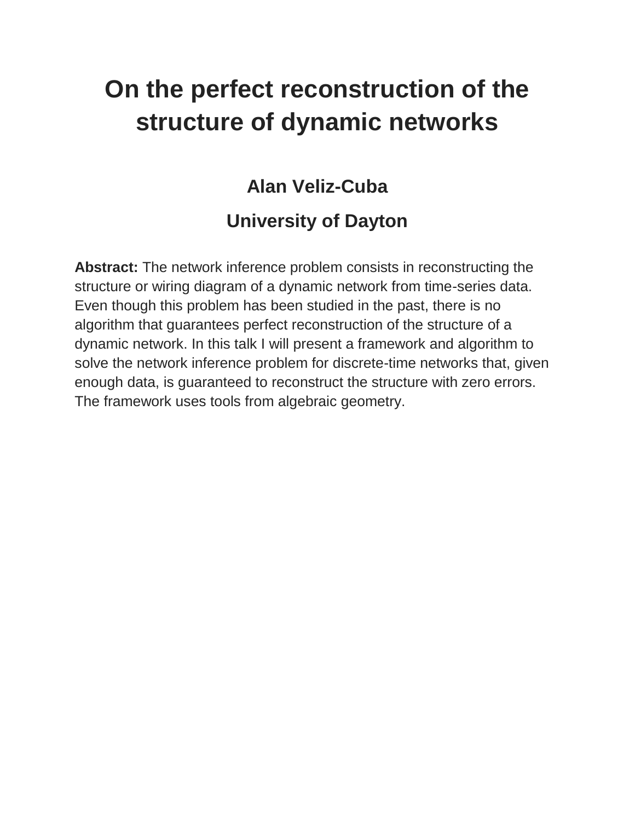# **On the perfect reconstruction of the structure of dynamic networks**

### **Alan Veliz-Cuba**

## **University of Dayton**

**Abstract:** The network inference problem consists in reconstructing the structure or wiring diagram of a dynamic network from time-series data. Even though this problem has been studied in the past, there is no algorithm that guarantees perfect reconstruction of the structure of a dynamic network. In this talk I will present a framework and algorithm to solve the network inference problem for discrete-time networks that, given enough data, is guaranteed to reconstruct the structure with zero errors. The framework uses tools from algebraic geometry.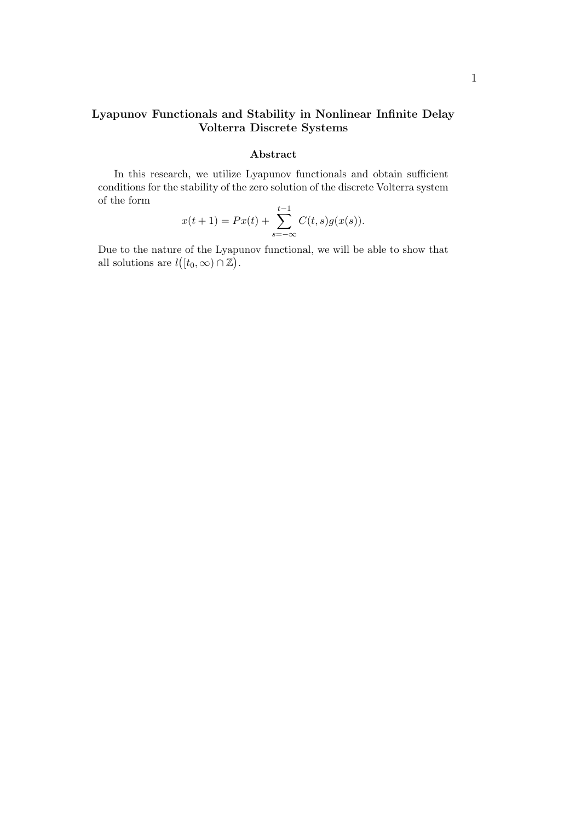#### **Lyapunov Functionals and Stability in Nonlinear Infinite Delay Volterra Discrete Systems**

#### **Abstract**

In this research, we utilize Lyapunov functionals and obtain sufficient conditions for the stability of the zero solution of the discrete Volterra system of the form

$$
x(t + 1) = Px(t) + \sum_{s = -\infty}^{t-1} C(t, s)g(x(s)).
$$

Due to the nature of the Lyapunov functional, we will be able to show that all solutions are  $l([t_0, \infty) \cap \mathbb{Z})$ .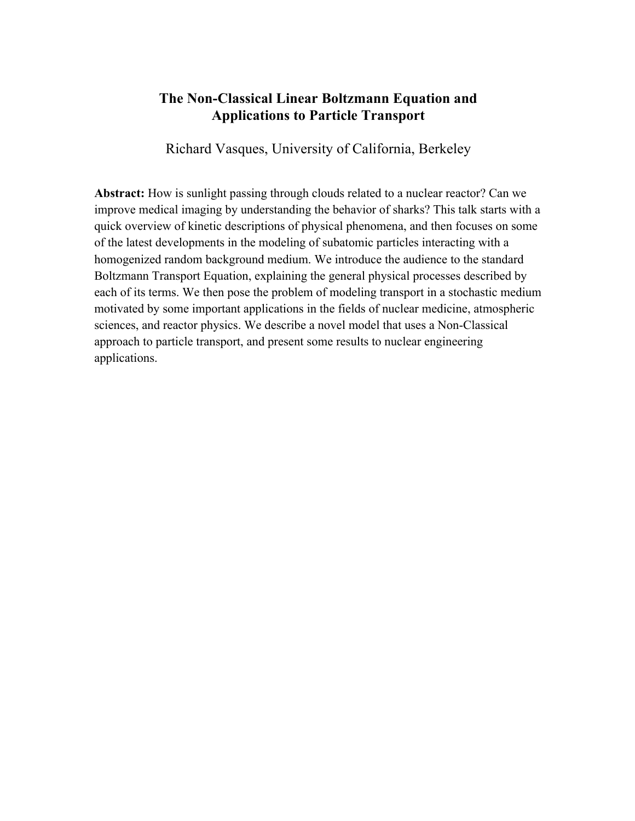#### **The Non-Classical Linear Boltzmann Equation and Applications to Particle Transport**

Richard Vasques, University of California, Berkeley

**Abstract:** How is sunlight passing through clouds related to a nuclear reactor? Can we improve medical imaging by understanding the behavior of sharks? This talk starts with a quick overview of kinetic descriptions of physical phenomena, and then focuses on some of the latest developments in the modeling of subatomic particles interacting with a homogenized random background medium. We introduce the audience to the standard Boltzmann Transport Equation, explaining the general physical processes described by each of its terms. We then pose the problem of modeling transport in a stochastic medium motivated by some important applications in the fields of nuclear medicine, atmospheric sciences, and reactor physics. We describe a novel model that uses a Non-Classical approach to particle transport, and present some results to nuclear engineering applications.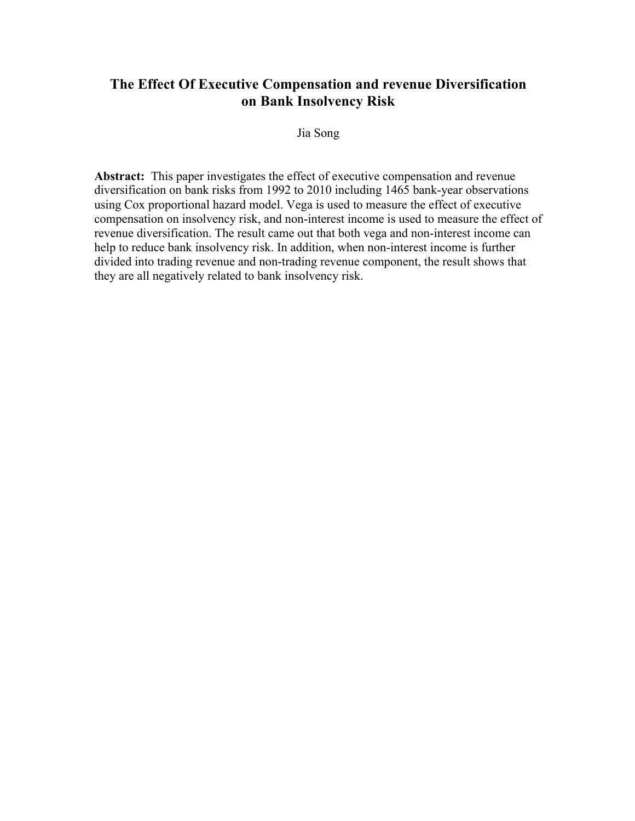#### **The Effect Of Executive Compensation and revenue Diversification on Bank Insolvency Risk**

Jia Song

**Abstract:** This paper investigates the effect of executive compensation and revenue diversification on bank risks from 1992 to 2010 including 1465 bank-year observations using Cox proportional hazard model. Vega is used to measure the effect of executive compensation on insolvency risk, and non-interest income is used to measure the effect of revenue diversification. The result came out that both vega and non-interest income can help to reduce bank insolvency risk. In addition, when non-interest income is further divided into trading revenue and non-trading revenue component, the result shows that they are all negatively related to bank insolvency risk.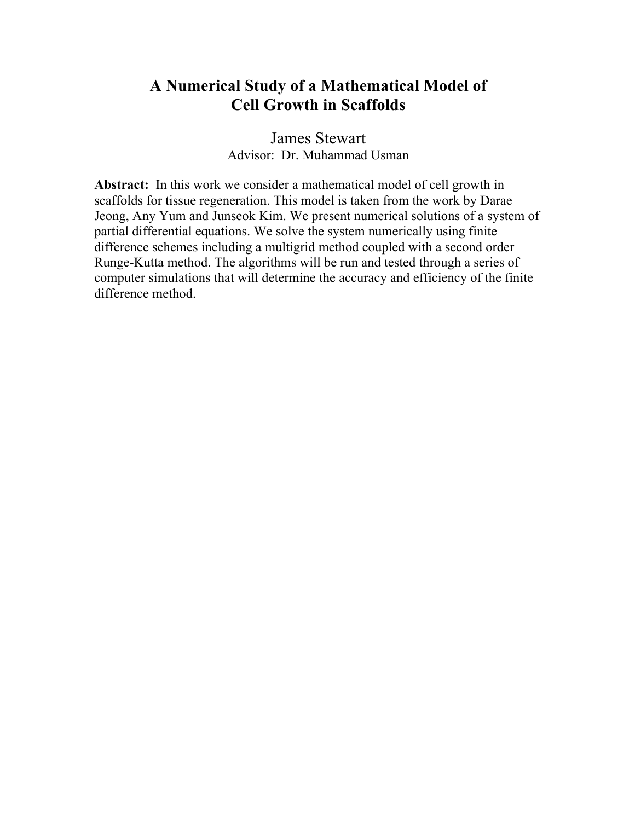#### **A Numerical Study of a Mathematical Model of Cell Growth in Scaffolds**

James Stewart Advisor: Dr. Muhammad Usman

**Abstract:** In this work we consider a mathematical model of cell growth in scaffolds for tissue regeneration. This model is taken from the work by Darae Jeong, Any Yum and Junseok Kim. We present numerical solutions of a system of partial differential equations. We solve the system numerically using finite difference schemes including a multigrid method coupled with a second order Runge-Kutta method. The algorithms will be run and tested through a series of computer simulations that will determine the accuracy and efficiency of the finite difference method.